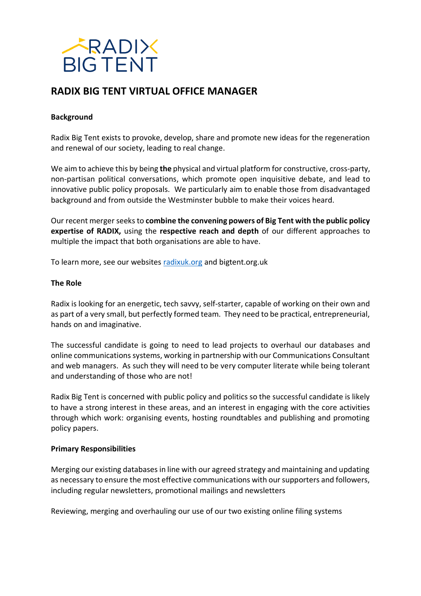

# **RADIX BIG TENT VIRTUAL OFFICE MANAGER**

# **Background**

Radix Big Tent exists to provoke, develop, share and promote new ideas for the regeneration and renewal of our society, leading to real change.

We aim to achieve this by being **the** physical and virtual platform for constructive, cross-party, non-partisan political conversations, which promote open inquisitive debate, and lead to innovative public policy proposals. We particularly aim to enable those from disadvantaged background and from outside the Westminster bubble to make their voices heard.

Our recent merger seeks to **combine the convening powers of Big Tent with the public policy expertise of RADIX,** using the **respective reach and depth** of our different approaches to multiple the impact that both organisations are able to have.

To learn more, see our websites [radixuk.org](http://radixuk.org/) and bigtent.org.uk

#### **The Role**

Radix is looking for an energetic, tech savvy, self-starter, capable of working on their own and as part of a very small, but perfectly formed team. They need to be practical, entrepreneurial, hands on and imaginative.

The successful candidate is going to need to lead projects to overhaul our databases and online communications systems, working in partnership with our Communications Consultant and web managers. As such they will need to be very computer literate while being tolerant and understanding of those who are not!

Radix Big Tent is concerned with public policy and politics so the successful candidate is likely to have a strong interest in these areas, and an interest in engaging with the core activities through which work: organising events, hosting roundtables and publishing and promoting policy papers.

### **Primary Responsibilities**

Merging our existing databases in line with our agreed strategy and maintaining and updating as necessary to ensure the most effective communications with our supporters and followers, including regular newsletters, promotional mailings and newsletters

Reviewing, merging and overhauling our use of our two existing online filing systems